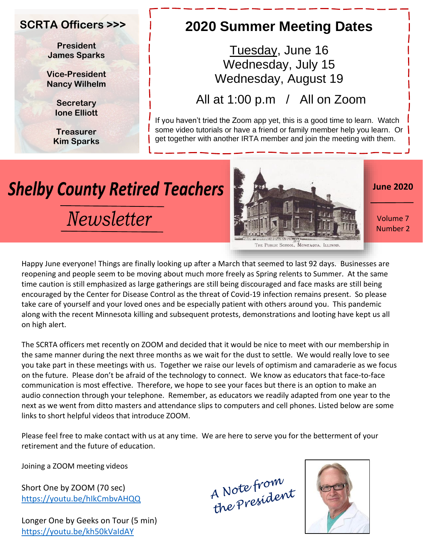#### **SCRTA Officers >>>**

**President James Sparks**

**Vice-President Nancy Wilhelm**

> **Secretary Ione Elliott**

**Treasurer Kim Sparks**

## **2020 Summer Meeting Dates**

Tuesday, June 16 Wednesday, July 15 Wednesday, August 19

All at 1:00 p.m / All on Zoom

If you haven't tried the Zoom app yet, this is a good time to learn. Watch some video tutorials or have a friend or family member help you learn. Or get together with another IRTA member and join the meeting with them.

# **Shelby County Retired Teachers**

Newsletter



**June 2020**

Volume 7 Number 2

Happy June everyone! Things are finally looking up after a March that seemed to last 92 days. Businesses are reopening and people seem to be moving about much more freely as Spring relents to Summer. At the same time caution is still emphasized as large gatherings are still being discouraged and face masks are still being encouraged by the Center for Disease Control as the threat of Covid-19 infection remains present. So please take care of yourself and your loved ones and be especially patient with others around you. This pandemic along with the recent Minnesota killing and subsequent protests, demonstrations and looting have kept us all on high alert.

The SCRTA officers met recently on ZOOM and decided that it would be nice to meet with our membership in the same manner during the next three months as we wait for the dust to settle. We would really love to see you take part in these meetings with us. Together we raise our levels of optimism and camaraderie as we focus on the future. Please don't be afraid of the technology to connect. We know as educators that face-to-face communication is most effective. Therefore, we hope to see your faces but there is an option to make an audio connection through your telephone. Remember, as educators we readily adapted from one year to the next as we went from ditto masters and attendance slips to computers and cell phones. Listed below are some links to short helpful videos that introduce ZOOM.

Please feel free to make contact with us at any time. We are here to serve you for the betterment of your retirement and the future of education.

Joining a ZOOM meeting videos

Short One by ZOOM (70 sec) <https://youtu.be/hIkCmbvAHQQ>

Longer One by Geeks on Tour (5 min) <https://youtu.be/kh50kVaIdAY>

A Note from<br>the President



THE PUBLIC SCHOOL. MOWEAQUA, ILLINO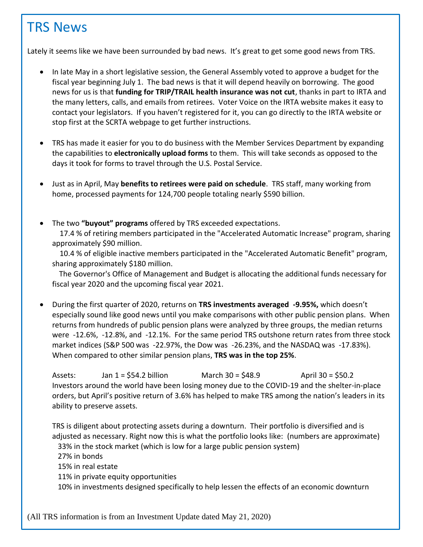### TRS News

Lately it seems like we have been surrounded by bad news. It's great to get some good news from TRS.

- In late May in a short legislative session, the General Assembly voted to approve a budget for the fiscal year beginning July 1. The bad news is that it will depend heavily on borrowing. The good news for us is that **funding for TRIP/TRAIL health insurance was not cut**, thanks in part to IRTA and the many letters, calls, and emails from retirees. Voter Voice on the IRTA website makes it easy to contact your legislators. If you haven't registered for it, you can go directly to the IRTA website or stop first at the SCRTA webpage to get further instructions.
- TRS has made it easier for you to do business with the Member Services Department by expanding the capabilities to **electronically upload forms** to them. This will take seconds as opposed to the days it took for forms to travel through the U.S. Postal Service.
- Just as in April, May **benefits to retirees were paid on schedule**. TRS staff, many working from home, processed payments for 124,700 people totaling nearly \$590 billion.
- The two **"buyout" programs** offered by TRS exceeded expectations.

 17.4 % of retiring members participated in the "Accelerated Automatic Increase" program, sharing approximately \$90 million.

 10.4 % of eligible inactive members participated in the "Accelerated Automatic Benefit" program, sharing approximately \$180 million.

 The Governor's Office of Management and Budget is allocating the additional funds necessary for fiscal year 2020 and the upcoming fiscal year 2021.

• During the first quarter of 2020, returns on **TRS investments averaged -9.95%,** which doesn't especially sound like good news until you make comparisons with other public pension plans. When returns from hundreds of public pension plans were analyzed by three groups, the median returns were -12.6%, -12.8%, and -12.1%. For the same period TRS outshone return rates from three stock market indices (S&P 500 was -22.97%, the Dow was -26.23%, and the NASDAQ was -17.83%). When compared to other similar pension plans, **TRS was in the top 25%**.

Assets: Jan 1 = \$54.2 billion March 30 = \$48.9 April 30 = \$50.2 Investors around the world have been losing money due to the COVID-19 and the shelter-in-place orders, but April's positive return of 3.6% has helped to make TRS among the nation's leaders in its ability to preserve assets.

TRS is diligent about protecting assets during a downturn. Their portfolio is diversified and is adjusted as necessary. Right now this is what the portfolio looks like: (numbers are approximate) 33% in the stock market (which is low for a large public pension system) 27% in bonds 15% in real estate 11% in private equity opportunities 10% in investments designed specifically to help lessen the effects of an economic downturn

(All TRS information is from an Investment Update dated May 21, 2020)